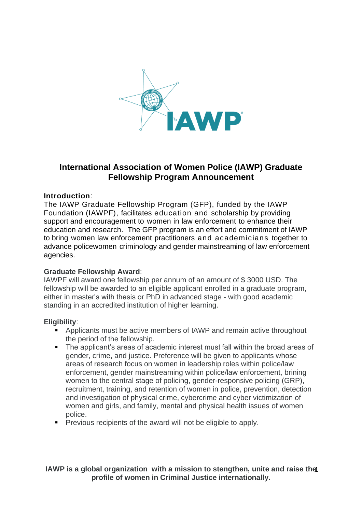

# **International Association of Women Police (IAWP) Graduate Fellowship Program Announcement**

### **Introduction**:

The IAWP Graduate Fellowship Program (GFP), funded by the IAWP Foundation (IAWPF), facilitates education and scholarship by providing support and encouragement to women in law enforcement to enhance their education and research. The GFP program is an effort and commitment of IAWP to bring women law enforcement practitioners and academicians together to advance policewomen criminology and gender mainstreaming of law enforcement agencies.

#### **Graduate Fellowship Award**:

IAWPF will award one fellowship per annum of an amount of \$ 3000 USD. The fellowship will be awarded to an eligible applicant enrolled in a graduate program, either in master's with thesis or PhD in advanced stage - with good academic standing in an accredited institution of higher learning.

#### **Eligibility**:

- Applicants must be active members of IAWP and remain active throughout the period of the fellowship.
- The applicant's areas of academic interest must fall within the broad areas of gender, crime, and justice. Preference will be given to applicants whose areas of research focus on women in leadership roles within police/law enforcement, gender mainstreaming within police/law enforcement, brining women to the central stage of policing, gender-responsive policing (GRP), recruitment, training, and retention of women in police, prevention, detection and investigation of physical crime, cybercrime and cyber victimization of women and girls, and family, mental and physical health issues of women police.
- Previous recipients of the award will not be eligible to apply.

### **IAWP is a global organization with a mission to stengthen, unite and raise the** 1 **profile of women in Criminal Justice internationally.**